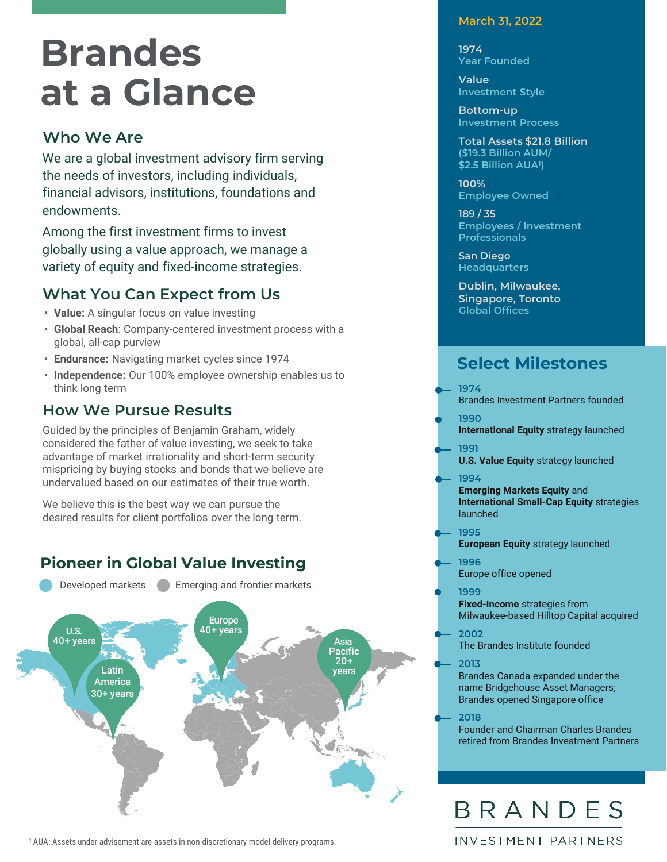# **Brandes at a Glance**

# **Who We Are**

We are a global investment advisory firm serving the needs of investors, including individuals, financial advisors, institutions, foundations and endowments.

Among the first investment firms to invest globally using a value approach, we manage a variety of equity and fixed-income strategies.

# **What You Can Expect from Us**

- **Value:** A singular focus on value investing
- **Global Reach**: Company-centered investment process with a global, all-cap purview
- **Endurance:** Navigating market cycles since 1974
- **Independence:** Our 100% employee ownership enables us to think long term

# **How We Pursue Results**

Guided by the principles of Benjamin Graham, widely considered the father of value investing, we seek to take advantage of market irrationality and short-term security mispricing by buying stocks and bonds that we believe are undervalued based on our estimates of their true worth.

We believe this is the best way we can pursue the desired results for client portfolios over the long term.



<sup>1</sup> AUA: Assets under advisement are assets in non-discretionary model delivery programs.

#### **March 31, 2022**

**1974 Year Founded**

**Value Investment Style**

**Bottom-up Investment Process**

**Total Assets \$21.8 Billion (\$19.3 Billion AUM/ \$2.5 Billion AUA1 )**

**100% Employee Owned**

**189 / 35 Employees / Investment Professionals**

**San Diego Headquarters**

**Dublin, Milwaukee, Singapore, Toronto Global Offices**

# **Select Milestones**

**1974** Brandes Investment Partners founded

- **1990 International Equity** strategy launched
- **1991 U.S. Value Equity** strategy launched

**1994**

**Emerging Markets Equity** and **International Small-Cap Equity** strategies launched

**1995 European Equity** strategy launched

- **1996** Europe office opened
- **1999 Fixed-Income** strategies from Milwaukee-based Hilltop Capital acquired
- **2002** The Brandes Institute founded

**2013** Brandes Canada expanded under the name Bridgehouse Asset Managers; Brandes opened Singapore office

**2018** Founder and Chairman Charles Brandes retired from Brandes Investment Partners

# BRANDES **INVESTMENT PARTNERS**